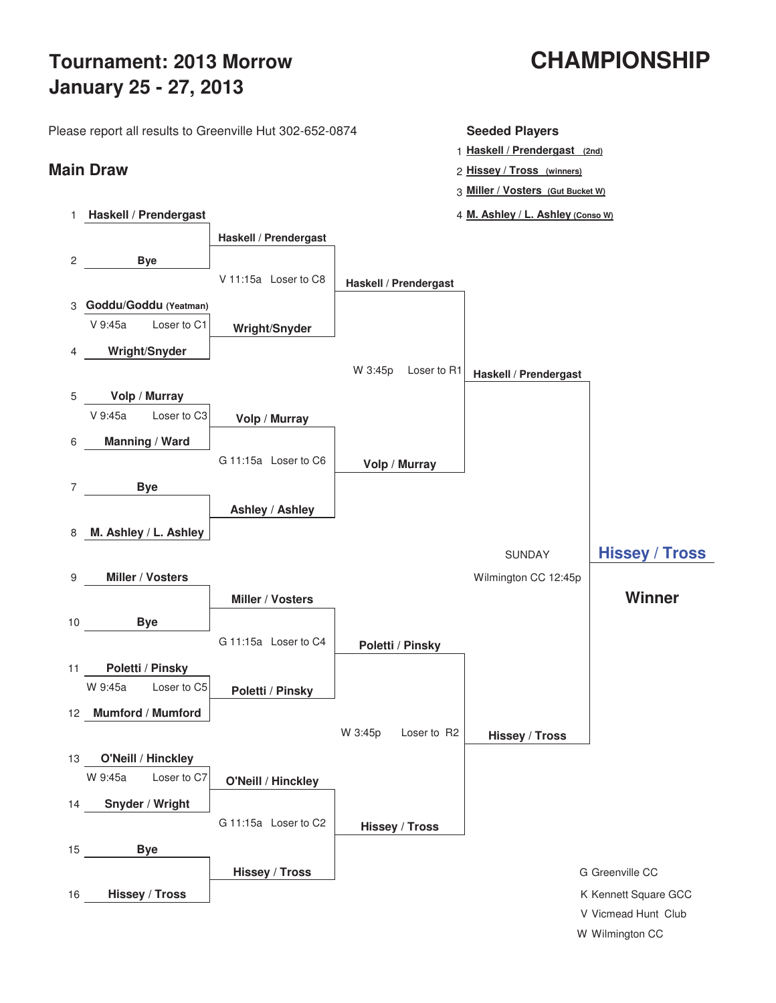# **Tournament: 2013 Morrow CHAMPIONSHIP January 25 - 27, 2013**

Please report all results to Greenville Hut 302-652-0874 **Seeded Players**



- 1 **Haskell / Prendergast (2nd)**
- **Main Draw** <sup>2</sup> **Hissey / Tross (winners)**
	- 3 **Miller / Vosters (Gut Bucket W)**
	- 1 **Haskell / Prendergast** 4 **M. Ashley / L. Ashley (Conso W)**

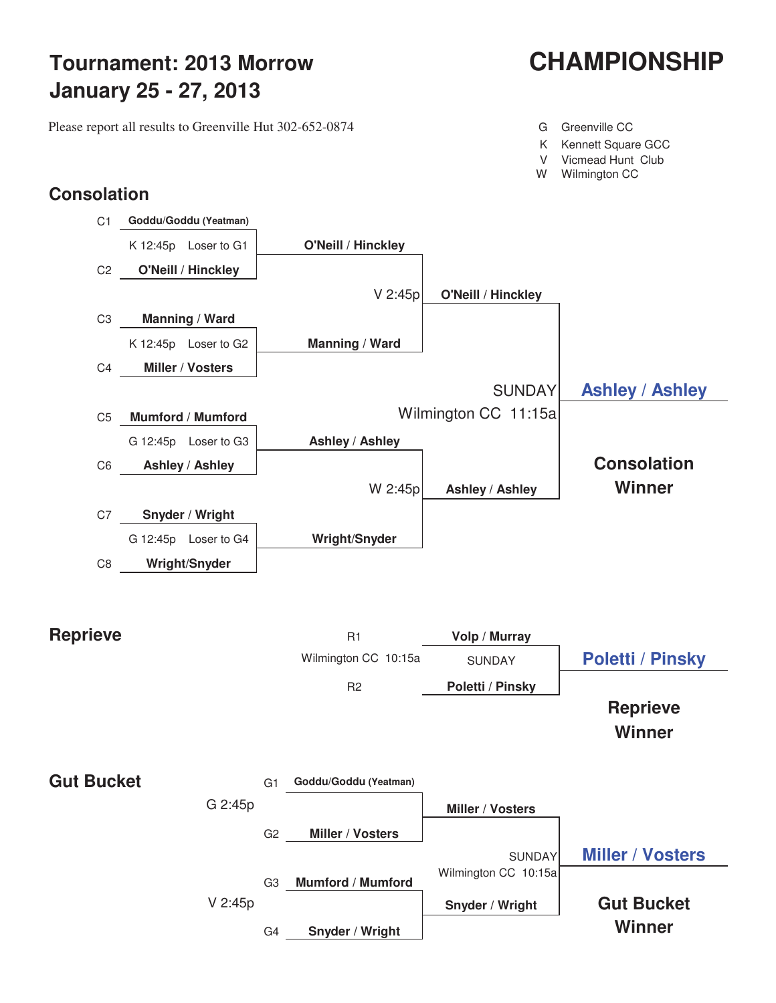# **Tournament: 2013 Morrow CHAMPIONSHIP January 25 - 27, 2013**

Please report all results to Greenville Hut 302-652-0874 G Greenville CC

- 
- K Kennett Square GCC
- V Vicmead Hunt Club
- W Wilmington CC

### **Consolation**



**Reprieve Winner**

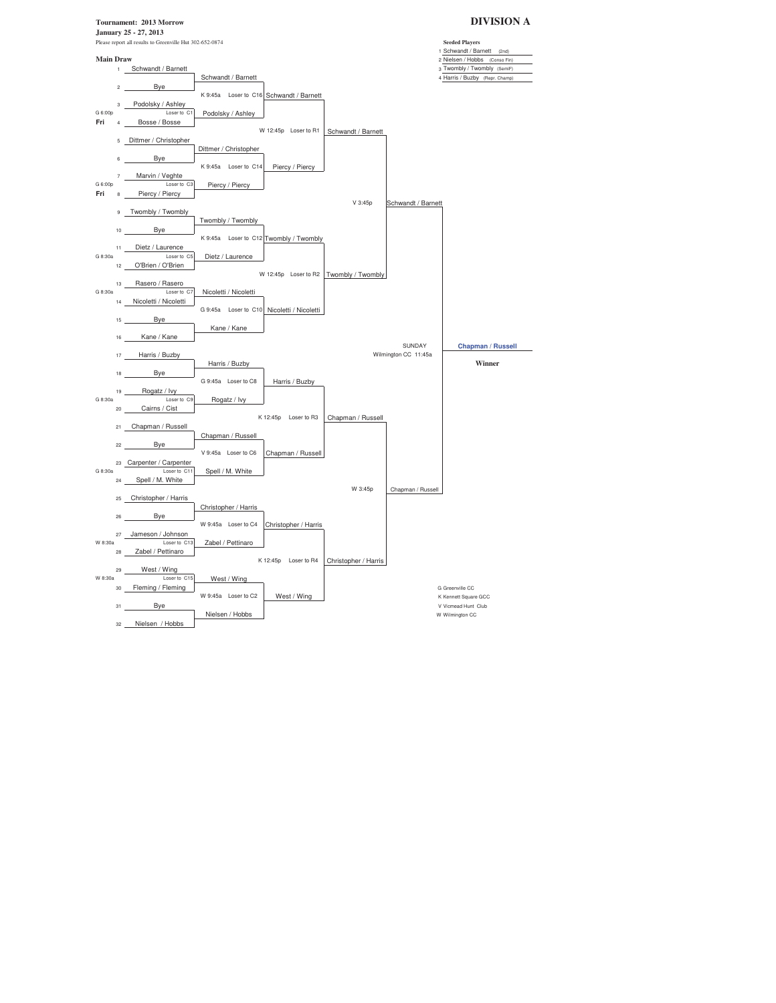**Tournament: 2013 Morrow DIVISION A January 25 - 27, 2013** Please report all results to Greenville Hut 302-652-0874 **Seeded Players** 1 Schwandt / Barnett (2nd) **Main Draw** 2 Nielsen / Hobbs (Conso Fin)<br>
1 Schwandt / Barnett<br>
3 Twombly / Twombly (SemiF) 1 3 Twombly / Twombly / Twombly / Twombly / Twombly / Twombly / Twombly / Twombly / Twombly / Twombly / Twombly / Twombly / Twombly / Twombly / Twombly / Twombly / Twombly / Twombly / Twombly / Twombly / Twombly / Twombly 4 Harris / Buzby (Repr. Champ) 2 Bye K 9:45a Loser to C16 Schwandt / Barnett 3 Podolsky / Ashley<br>G 6:00p Loser to C1 G 6:00p Loser to C1 Podolsky / Ashley **Fri** 4 Bosse / Bosse W 12:45p Loser to R1 Schwandt / Barnett 5 Dittmer / Christopher Dittmer / Christopher 6 Bye K 9:45a Loser to C14 Piercy / Piercy 7 Marvin / Veghte G 6:00p Loser to C3 Piercy / Piercy G 6:00p<br>**Fri** 8 <u>Piercy / Piercy</u> V 3:45p Schwandt / Barnett 9 Twombly / Twombly Twombly / Twombly 10 Bye K 9:45a Loser to C12 Twombly / Twombly 11 Dietz / Laurence<br>G 8:30a Loser to C5 Dietz / Laurence 12 O'Brien / O'Brien W 12:45p Loser to R2 Twombly / Twombly 13 Rasero / Rasero G 8:30a Loser to C7 Nicoletti / Nicoletti 14 Nicoletti / Nicoletti G 9:45a Loser to C10 Nicoletti / Nicoletti 15 Bye Kane / Kane 16 Kane / Kane SUNDAY **Chapman / Russell**<br>Wilmington CC 11:45a 17 Harris / Buzby Harris / Buzby **Winner** 18 Bye G 9:45a Loser to C8 Harris / Buzby 19 Rogatz / Ivy G 8:30a Loserto C9 Rogatz / Lvy<br>20 Cairns / Cist K 12:45p Loser to R3 Chapman / Russell 21 Chapman / Russell Chapman / Russell 22 Bye V 9:45a Loser to C6 Chapman / Russell 23 Carpenter / Carpenter<br>G 8:30a Loser to C11 G 8:30a Loser to C11 Spell / M. White 24 Spell / M. White W 3:45p Chapman / Russell 25 Christopher / Harris Christopher / Harris 26 Bye W 9:45a Loser to C4 Christopher / Harris 27 Jameson / Johnson<br>W 8:30a Loser to C13 Zabel / Pettinaro 28 Zabel / Pettinaro K 12:45p Loser to R4 Christopher / Harris 29 West / Wing W 8:30a Loser to C15 West / Wing a<br>30 Fleming / Fleming W9:45a Loser to C2 West / Wing Greenville CC Kennett Square W 9:45a Loser to C2 West / Wing Kennett Square GCC<br>
West / Wing K Kennett Square GCC<br>
V Vicmead Hunt Club 31 Bye V Vicmead Hunt Clubbs Nielsen / Hobbs V Vicmead Hunt Clubbs Nielsen / Hobbs Nielsen / Hobbs Nielsen / Hobbs Nielsen / Hobbs Nielsen / Hobbs Nielsen / Hobbs Nielsen / Hobbs Nielsen / Hobbs Nielsen / Hobbs Nielsen / H Nielsen / Hobbs 32 Nielsen / Hobbs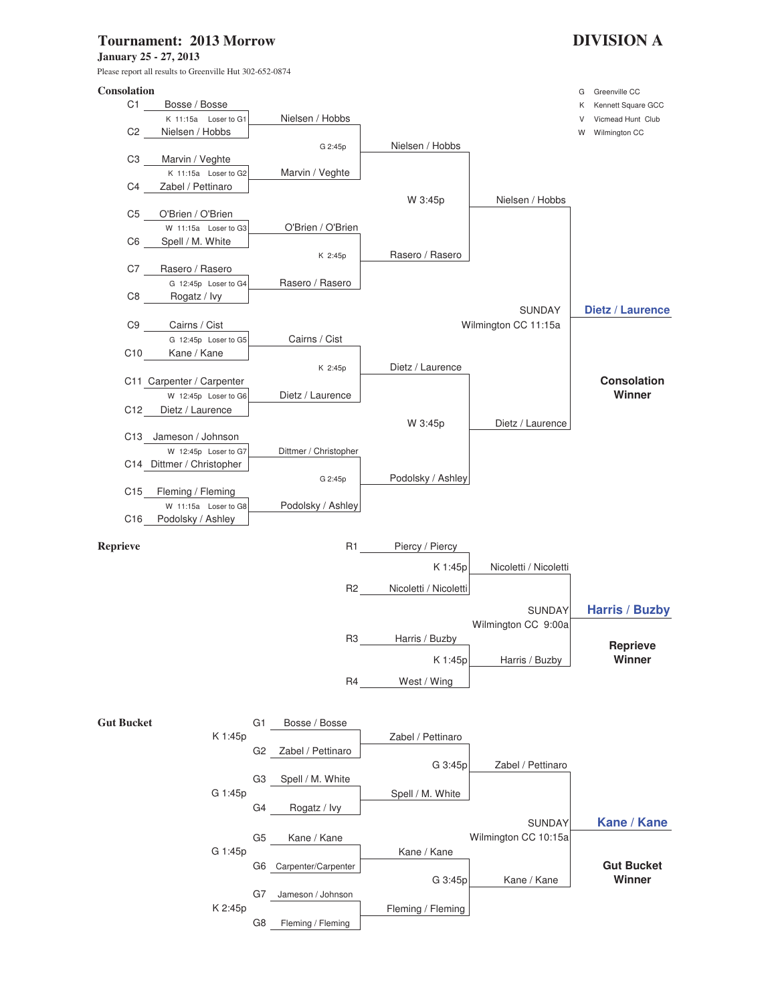### **Tournament: 2013 Morrow DIVISION A**

**January 25 - 27, 2013**

Please report all results to Greenville Hut 302-652-0874

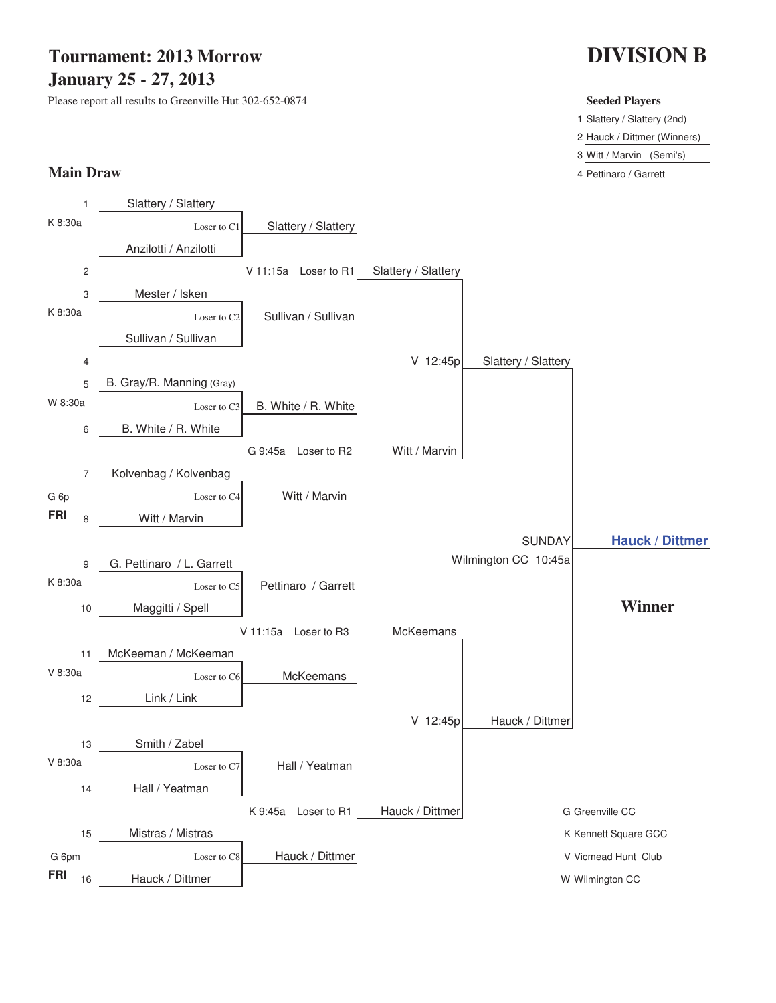### **Tournament: 2013 Morrow January 25 - 27, 2013**

Please report all results to Greenville Hut 302-652-0874 **Seeded Players**

## **DIVISION B**

1 Slattery / Slattery (2nd)

2 Hauck / Dittmer (Winners)

3 Witt / Marvin (Semi's)

**Main Draw** 4 Pettinaro / Garrett